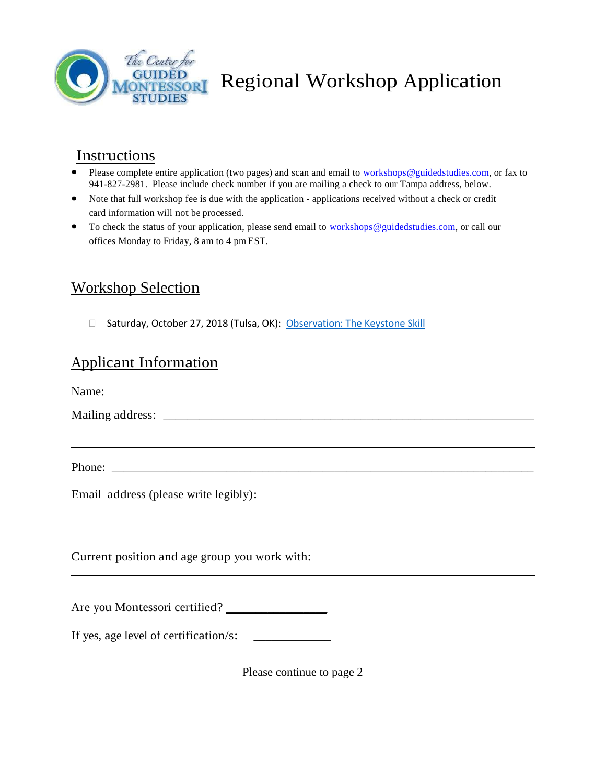

Regional Workshop Application

# Instructions

- $\bullet$ Please complete entire application (two pages) and scan and email to workshops@guidedstudies.com, or fax to 941-827-2981. Please include check number if you are mailing a check to our Tampa address, below.
- Note that full workshop fee is due with the application applications received without a check or credit  $\bullet$ card information will not be processed.
- $\bullet$ To check the status of your application, please send email to workshops@guidedstudies.com, or call our offices Monday to Friday, 8 am to 4 pm EST.

## Workshop Selection

□ Saturday, October 27, 2018 (Tulsa, OK): [Observation: The Keystone Skill](http://www.cgms.edu/2018/09/regional-workshop-series-comes-to-tulsa-october-27/)

### Applicant Information

| Email address (please write legibly):          |
|------------------------------------------------|
|                                                |
| Current position and age group you work with:  |
|                                                |
| Are you Montessori certified? ________________ |
|                                                |
| Please continue to page 2                      |